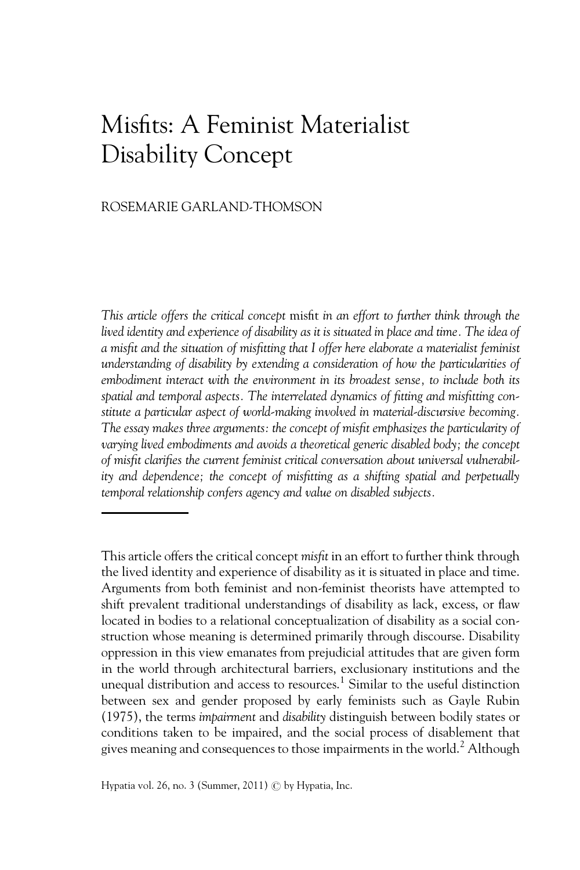# Misfits: A Feminist Materialist Disability Concept

# ROSEMARIE GARLAND-THOMSON

This article offers the critical concept misfit in an effort to further think through the lived identity and experience of disability as it is situated in place and time. The idea of a misfit and the situation of misfitting that I offer here elaborate a materialist feminist understanding of disability by extending a consideration of how the particularities of embodiment interact with the environment in its broadest sense, to include both its spatial and temporal aspects. The interrelated dynamics of fitting and misfitting constitute a particular aspect of world-making involved in material-discursive becoming. The essay makes three arguments: the concept of misfit emphasizes the particularity of varying lived embodiments and avoids a theoretical generic disabled body; the concept of misfit clarifies the current feminist critical conversation about universal vulnerability and dependence; the concept of misfitting as a shifting spatial and perpetually temporal relationship confers agency and value on disabled subjects.

Hypatia vol. 26, no. 3 (Summer, 2011)  $\circled{c}$  by Hypatia, Inc.

This article offers the critical concept misfit in an effort to further think through the lived identity and experience of disability as it is situated in place and time. Arguments from both feminist and non-feminist theorists have attempted to shift prevalent traditional understandings of disability as lack, excess, or flaw located in bodies to a relational conceptualization of disability as a social construction whose meaning is determined primarily through discourse. Disability oppression in this view emanates from prejudicial attitudes that are given form in the world through architectural barriers, exclusionary institutions and the unequal distribution and access to resources.<sup>1</sup> Similar to the useful distinction between sex and gender proposed by early feminists such as Gayle Rubin (1975), the terms impairment and disability distinguish between bodily states or conditions taken to be impaired, and the social process of disablement that gives meaning and consequences to those impairments in the world.<sup>2</sup> Although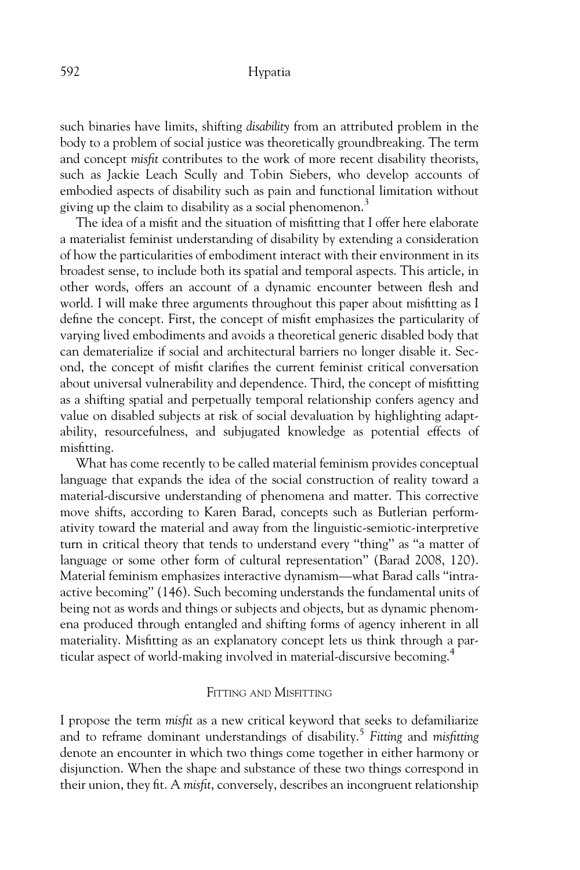such binaries have limits, shifting disability from an attributed problem in the body to a problem of social justice was theoretically groundbreaking. The term and concept misfit contributes to the work of more recent disability theorists, such as Jackie Leach Scully and Tobin Siebers, who develop accounts of embodied aspects of disability such as pain and functional limitation without giving up the claim to disability as a social phenomenon.<sup>3</sup>

The idea of a misfit and the situation of misfitting that I offer here elaborate a materialist feminist understanding of disability by extending a consideration of how the particularities of embodiment interact with their environment in its broadest sense, to include both its spatial and temporal aspects. This article, in other words, offers an account of a dynamic encounter between flesh and world. I will make three arguments throughout this paper about misfitting as I define the concept. First, the concept of misfit emphasizes the particularity of varying lived embodiments and avoids a theoretical generic disabled body that can dematerialize if social and architectural barriers no longer disable it. Second, the concept of misfit clarifies the current feminist critical conversation about universal vulnerability and dependence. Third, the concept of misfitting as a shifting spatial and perpetually temporal relationship confers agency and value on disabled subjects at risk of social devaluation by highlighting adaptability, resourcefulness, and subjugated knowledge as potential effects of misfitting.

What has come recently to be called material feminism provides conceptual language that expands the idea of the social construction of reality toward a material-discursive understanding of phenomena and matter. This corrective move shifts, according to Karen Barad, concepts such as Butlerian performativity toward the material and away from the linguistic-semiotic-interpretive turn in critical theory that tends to understand every ''thing'' as ''a matter of language or some other form of cultural representation'' (Barad 2008, 120). Material feminism emphasizes interactive dynamism—what Barad calls ''intraactive becoming'' (146). Such becoming understands the fundamental units of being not as words and things or subjects and objects, but as dynamic phenomena produced through entangled and shifting forms of agency inherent in all materiality. Misfitting as an explanatory concept lets us think through a particular aspect of world-making involved in material-discursive becoming.<sup>4</sup>

# FITTING AND MISFITTING

I propose the term misfit as a new critical keyword that seeks to defamiliarize and to reframe dominant understandings of disability.<sup>5</sup> Fitting and misfitting denote an encounter in which two things come together in either harmony or disjunction. When the shape and substance of these two things correspond in their union, they fit. A misfit, conversely, describes an incongruent relationship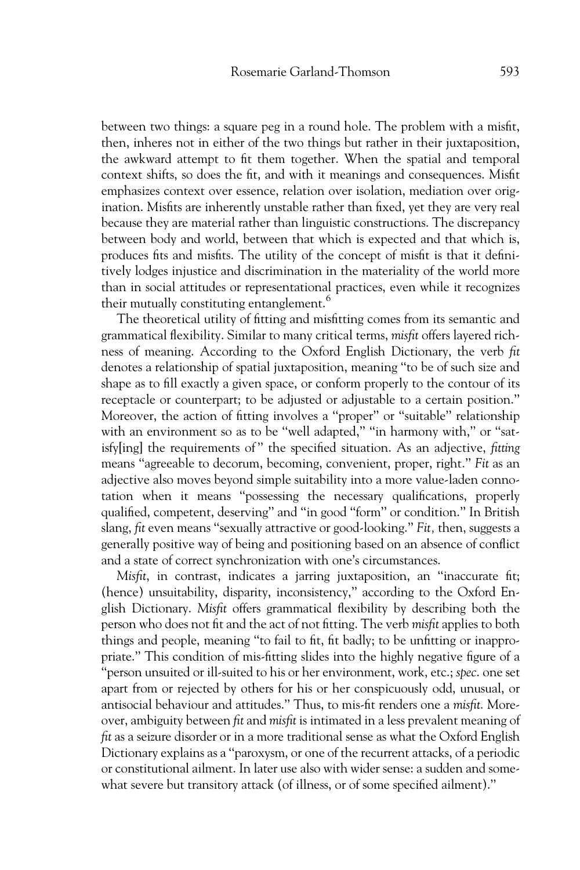between two things: a square peg in a round hole. The problem with a misfit, then, inheres not in either of the two things but rather in their juxtaposition, the awkward attempt to fit them together. When the spatial and temporal context shifts, so does the fit, and with it meanings and consequences. Misfit emphasizes context over essence, relation over isolation, mediation over origination. Misfits are inherently unstable rather than fixed, yet they are very real because they are material rather than linguistic constructions. The discrepancy between body and world, between that which is expected and that which is, produces fits and misfits. The utility of the concept of misfit is that it definitively lodges injustice and discrimination in the materiality of the world more than in social attitudes or representational practices, even while it recognizes their mutually constituting entanglement.<sup>6</sup>

The theoretical utility of fitting and misfitting comes from its semantic and grammatical flexibility. Similar to many critical terms, misfit offers layered richness of meaning. According to the Oxford English Dictionary, the verb fit denotes a relationship of spatial juxtaposition, meaning ''to be of such size and shape as to fill exactly a given space, or conform properly to the contour of its receptacle or counterpart; to be adjusted or adjustable to a certain position.'' Moreover, the action of fitting involves a ''proper'' or ''suitable'' relationship with an environment so as to be "well adapted," "in harmony with," or "satisfy[ing] the requirements of '' the specified situation. As an adjective, fitting means ''agreeable to decorum, becoming, convenient, proper, right.'' Fit as an adjective also moves beyond simple suitability into a more value-laden connotation when it means ''possessing the necessary qualifications, properly qualified, competent, deserving'' and ''in good ''form'' or condition.'' In British slang, fit even means ''sexually attractive or good-looking.'' Fit, then, suggests a generally positive way of being and positioning based on an absence of conflict and a state of correct synchronization with one's circumstances.

Misfit, in contrast, indicates a jarring juxtaposition, an ''inaccurate fit; (hence) unsuitability, disparity, inconsistency,'' according to the Oxford English Dictionary. Misfit offers grammatical flexibility by describing both the person who does not fit and the act of not fitting. The verb misfit applies to both things and people, meaning ''to fail to fit, fit badly; to be unfitting or inappropriate.'' This condition of mis-fitting slides into the highly negative figure of a ''person unsuited or ill-suited to his or her environment, work, etc.; spec. one set apart from or rejected by others for his or her conspicuously odd, unusual, or antisocial behaviour and attitudes.'' Thus, to mis-fit renders one a misfit. Moreover, ambiguity between fit and misfit is intimated in a less prevalent meaning of fit as a seizure disorder or in a more traditional sense as what the Oxford English Dictionary explains as a ''paroxysm, or one of the recurrent attacks, of a periodic or constitutional ailment. In later use also with wider sense: a sudden and somewhat severe but transitory attack (of illness, or of some specified ailment)."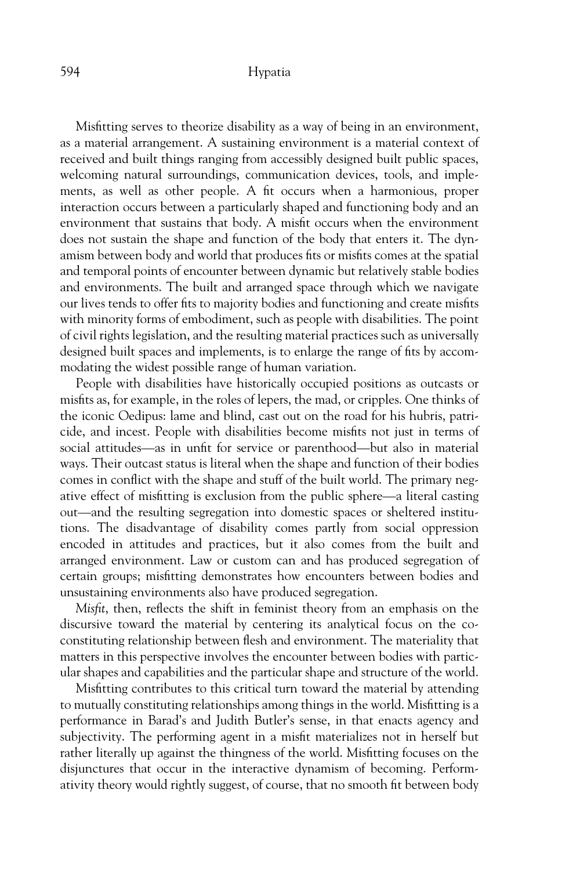Misfitting serves to theorize disability as a way of being in an environment, as a material arrangement. A sustaining environment is a material context of received and built things ranging from accessibly designed built public spaces, welcoming natural surroundings, communication devices, tools, and implements, as well as other people. A fit occurs when a harmonious, proper interaction occurs between a particularly shaped and functioning body and an environment that sustains that body. A misfit occurs when the environment does not sustain the shape and function of the body that enters it. The dynamism between body and world that produces fits or misfits comes at the spatial and temporal points of encounter between dynamic but relatively stable bodies and environments. The built and arranged space through which we navigate our lives tends to offer fits to majority bodies and functioning and create misfits with minority forms of embodiment, such as people with disabilities. The point of civil rights legislation, and the resulting material practices such as universally designed built spaces and implements, is to enlarge the range of fits by accommodating the widest possible range of human variation.

People with disabilities have historically occupied positions as outcasts or misfits as, for example, in the roles of lepers, the mad, or cripples. One thinks of the iconic Oedipus: lame and blind, cast out on the road for his hubris, patricide, and incest. People with disabilities become misfits not just in terms of social attitudes—as in unfit for service or parenthood—but also in material ways. Their outcast status is literal when the shape and function of their bodies comes in conflict with the shape and stuff of the built world. The primary negative effect of misfitting is exclusion from the public sphere—a literal casting out—and the resulting segregation into domestic spaces or sheltered institutions. The disadvantage of disability comes partly from social oppression encoded in attitudes and practices, but it also comes from the built and arranged environment. Law or custom can and has produced segregation of certain groups; misfitting demonstrates how encounters between bodies and unsustaining environments also have produced segregation.

Misfit, then, reflects the shift in feminist theory from an emphasis on the discursive toward the material by centering its analytical focus on the coconstituting relationship between flesh and environment. The materiality that matters in this perspective involves the encounter between bodies with particular shapes and capabilities and the particular shape and structure of the world.

Misfitting contributes to this critical turn toward the material by attending to mutually constituting relationships among things in the world. Misfitting is a performance in Barad's and Judith Butler's sense, in that enacts agency and subjectivity. The performing agent in a misfit materializes not in herself but rather literally up against the thingness of the world. Misfitting focuses on the disjunctures that occur in the interactive dynamism of becoming. Performativity theory would rightly suggest, of course, that no smooth fit between body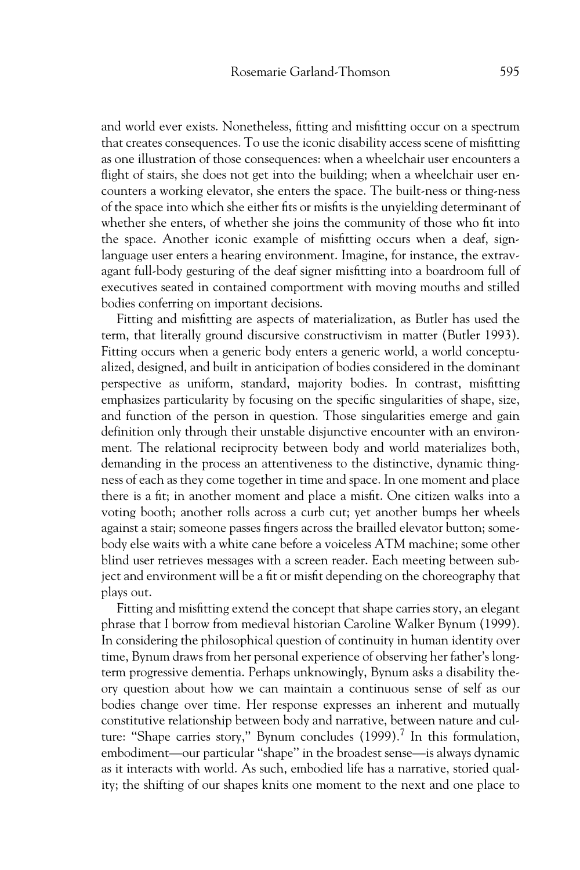and world ever exists. Nonetheless, fitting and misfitting occur on a spectrum that creates consequences. To use the iconic disability access scene of misfitting as one illustration of those consequences: when a wheelchair user encounters a flight of stairs, she does not get into the building; when a wheelchair user encounters a working elevator, she enters the space. The built-ness or thing-ness of the space into which she either fits or misfits is the unyielding determinant of whether she enters, of whether she joins the community of those who fit into the space. Another iconic example of misfitting occurs when a deaf, signlanguage user enters a hearing environment. Imagine, for instance, the extravagant full-body gesturing of the deaf signer misfitting into a boardroom full of executives seated in contained comportment with moving mouths and stilled bodies conferring on important decisions.

Fitting and misfitting are aspects of materialization, as Butler has used the term, that literally ground discursive constructivism in matter (Butler 1993). Fitting occurs when a generic body enters a generic world, a world conceptualized, designed, and built in anticipation of bodies considered in the dominant perspective as uniform, standard, majority bodies. In contrast, misfitting emphasizes particularity by focusing on the specific singularities of shape, size, and function of the person in question. Those singularities emerge and gain definition only through their unstable disjunctive encounter with an environment. The relational reciprocity between body and world materializes both, demanding in the process an attentiveness to the distinctive, dynamic thingness of each as they come together in time and space. In one moment and place there is a fit; in another moment and place a misfit. One citizen walks into a voting booth; another rolls across a curb cut; yet another bumps her wheels against a stair; someone passes fingers across the brailled elevator button; somebody else waits with a white cane before a voiceless ATM machine; some other blind user retrieves messages with a screen reader. Each meeting between subject and environment will be a fit or misfit depending on the choreography that plays out.

Fitting and misfitting extend the concept that shape carries story, an elegant phrase that I borrow from medieval historian Caroline Walker Bynum (1999). In considering the philosophical question of continuity in human identity over time, Bynum draws from her personal experience of observing her father's longterm progressive dementia. Perhaps unknowingly, Bynum asks a disability theory question about how we can maintain a continuous sense of self as our bodies change over time. Her response expresses an inherent and mutually constitutive relationship between body and narrative, between nature and culture: "Shape carries story," Bynum concludes (1999).<sup>7</sup> In this formulation, embodiment—our particular ''shape'' in the broadest sense—is always dynamic as it interacts with world. As such, embodied life has a narrative, storied quality; the shifting of our shapes knits one moment to the next and one place to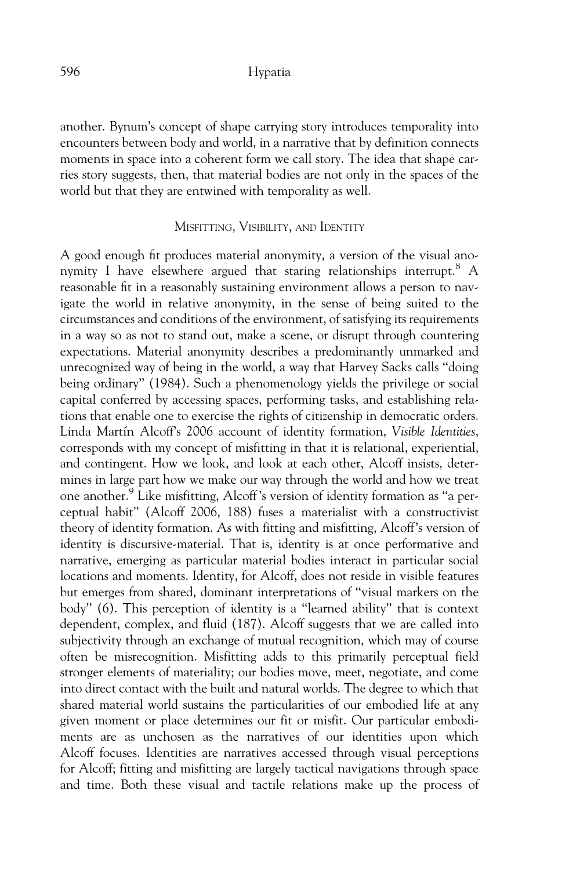another. Bynum's concept of shape carrying story introduces temporality into encounters between body and world, in a narrative that by definition connects moments in space into a coherent form we call story. The idea that shape carries story suggests, then, that material bodies are not only in the spaces of the world but that they are entwined with temporality as well.

## MISFITTING, VISIBILITY, AND IDENTITY

A good enough fit produces material anonymity, a version of the visual anonymity I have elsewhere argued that staring relationships interrupt.<sup>8</sup> A reasonable fit in a reasonably sustaining environment allows a person to navigate the world in relative anonymity, in the sense of being suited to the circumstances and conditions of the environment, of satisfying its requirements in a way so as not to stand out, make a scene, or disrupt through countering expectations. Material anonymity describes a predominantly unmarked and unrecognized way of being in the world, a way that Harvey Sacks calls ''doing being ordinary'' (1984). Such a phenomenology yields the privilege or social capital conferred by accessing spaces, performing tasks, and establishing relations that enable one to exercise the rights of citizenship in democratic orders. Linda Martín Alcoff's 2006 account of identity formation, Visible Identities, corresponds with my concept of misfitting in that it is relational, experiential, and contingent. How we look, and look at each other, Alcoff insists, determines in large part how we make our way through the world and how we treat one another.<sup>9</sup> Like misfitting, Alcoff's version of identity formation as "a perceptual habit'' (Alcoff 2006, 188) fuses a materialist with a constructivist theory of identity formation. As with fitting and misfitting, Alcoff's version of identity is discursive-material. That is, identity is at once performative and narrative, emerging as particular material bodies interact in particular social locations and moments. Identity, for Alcoff, does not reside in visible features but emerges from shared, dominant interpretations of ''visual markers on the body'' (6). This perception of identity is a ''learned ability'' that is context dependent, complex, and fluid (187). Alcoff suggests that we are called into subjectivity through an exchange of mutual recognition, which may of course often be misrecognition. Misfitting adds to this primarily perceptual field stronger elements of materiality; our bodies move, meet, negotiate, and come into direct contact with the built and natural worlds. The degree to which that shared material world sustains the particularities of our embodied life at any given moment or place determines our fit or misfit. Our particular embodiments are as unchosen as the narratives of our identities upon which Alcoff focuses. Identities are narratives accessed through visual perceptions for Alcoff; fitting and misfitting are largely tactical navigations through space and time. Both these visual and tactile relations make up the process of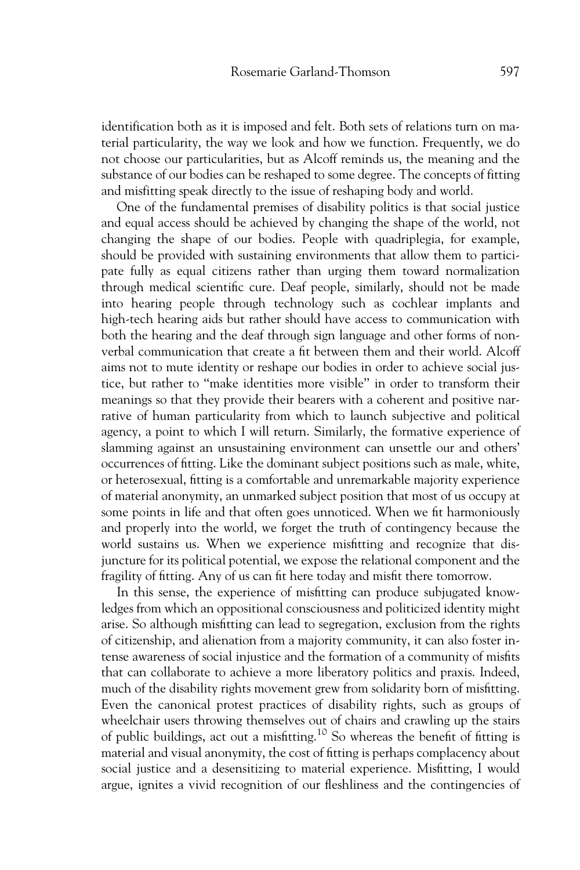identification both as it is imposed and felt. Both sets of relations turn on material particularity, the way we look and how we function. Frequently, we do not choose our particularities, but as Alcoff reminds us, the meaning and the substance of our bodies can be reshaped to some degree. The concepts of fitting and misfitting speak directly to the issue of reshaping body and world.

One of the fundamental premises of disability politics is that social justice and equal access should be achieved by changing the shape of the world, not changing the shape of our bodies. People with quadriplegia, for example, should be provided with sustaining environments that allow them to participate fully as equal citizens rather than urging them toward normalization through medical scientific cure. Deaf people, similarly, should not be made into hearing people through technology such as cochlear implants and high-tech hearing aids but rather should have access to communication with both the hearing and the deaf through sign language and other forms of nonverbal communication that create a fit between them and their world. Alcoff aims not to mute identity or reshape our bodies in order to achieve social justice, but rather to ''make identities more visible'' in order to transform their meanings so that they provide their bearers with a coherent and positive narrative of human particularity from which to launch subjective and political agency, a point to which I will return. Similarly, the formative experience of slamming against an unsustaining environment can unsettle our and others' occurrences of fitting. Like the dominant subject positions such as male, white, or heterosexual, fitting is a comfortable and unremarkable majority experience of material anonymity, an unmarked subject position that most of us occupy at some points in life and that often goes unnoticed. When we fit harmoniously and properly into the world, we forget the truth of contingency because the world sustains us. When we experience misfitting and recognize that disjuncture for its political potential, we expose the relational component and the fragility of fitting. Any of us can fit here today and misfit there tomorrow.

In this sense, the experience of misfitting can produce subjugated knowledges from which an oppositional consciousness and politicized identity might arise. So although misfitting can lead to segregation, exclusion from the rights of citizenship, and alienation from a majority community, it can also foster intense awareness of social injustice and the formation of a community of misfits that can collaborate to achieve a more liberatory politics and praxis. Indeed, much of the disability rights movement grew from solidarity born of misfitting. Even the canonical protest practices of disability rights, such as groups of wheelchair users throwing themselves out of chairs and crawling up the stairs of public buildings, act out a misfitting.<sup>10</sup> So whereas the benefit of fitting is material and visual anonymity, the cost of fitting is perhaps complacency about social justice and a desensitizing to material experience. Misfitting, I would argue, ignites a vivid recognition of our fleshliness and the contingencies of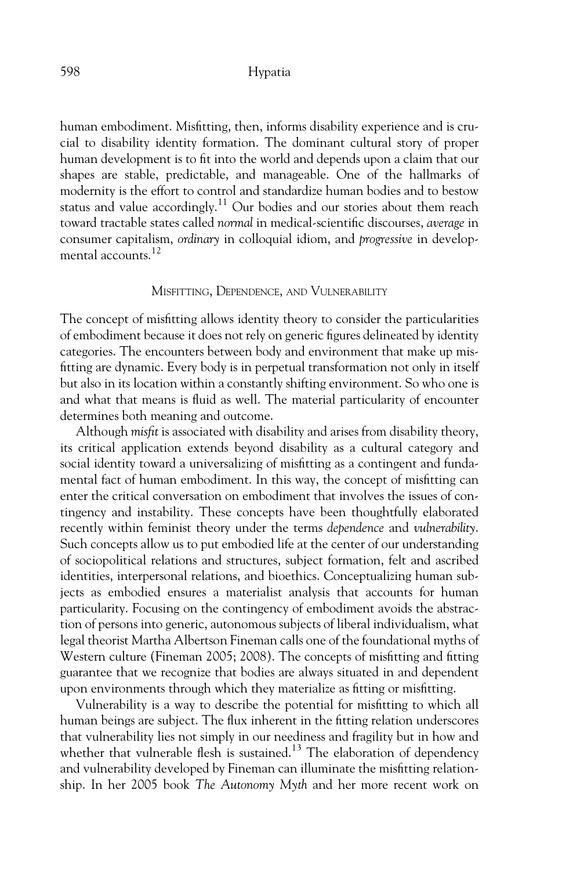human embodiment. Misfitting, then, informs disability experience and is crucial to disability identity formation. The dominant cultural story of proper human development is to fit into the world and depends upon a claim that our shapes are stable, predictable, and manageable. One of the hallmarks of modernity is the effort to control and standardize human bodies and to bestow status and value accordingly.<sup>11</sup> Our bodies and our stories about them reach toward tractable states called normal in medical-scientific discourses, average in consumer capitalism, *ordinary* in colloquial idiom, and progressive in developmental accounts.<sup>12</sup>

#### MISFITTING, DEPENDENCE, AND VULNERABILITY

The concept of misfitting allows identity theory to consider the particularities of embodiment because it does not rely on generic figures delineated by identity categories. The encounters between body and environment that make up misfitting are dynamic. Every body is in perpetual transformation not only in itself but also in its location within a constantly shifting environment. So who one is and what that means is fluid as well. The material particularity of encounter determines both meaning and outcome.

Although misfit is associated with disability and arises from disability theory, its critical application extends beyond disability as a cultural category and social identity toward a universalizing of misfitting as a contingent and fundamental fact of human embodiment. In this way, the concept of misfitting can enter the critical conversation on embodiment that involves the issues of contingency and instability. These concepts have been thoughtfully elaborated recently within feminist theory under the terms dependence and vulnerability. Such concepts allow us to put embodied life at the center of our understanding of sociopolitical relations and structures, subject formation, felt and ascribed identities, interpersonal relations, and bioethics. Conceptualizing human subjects as embodied ensures a materialist analysis that accounts for human particularity. Focusing on the contingency of embodiment avoids the abstraction of persons into generic, autonomous subjects of liberal individualism, what legal theorist Martha Albertson Fineman calls one of the foundational myths of Western culture (Fineman 2005; 2008). The concepts of misfitting and fitting guarantee that we recognize that bodies are always situated in and dependent upon environments through which they materialize as fitting or misfitting.

Vulnerability is a way to describe the potential for misfitting to which all human beings are subject. The flux inherent in the fitting relation underscores that vulnerability lies not simply in our neediness and fragility but in how and whether that vulnerable flesh is sustained.<sup>13</sup> The elaboration of dependency and vulnerability developed by Fineman can illuminate the misfitting relationship. In her 2005 book The Autonomy Myth and her more recent work on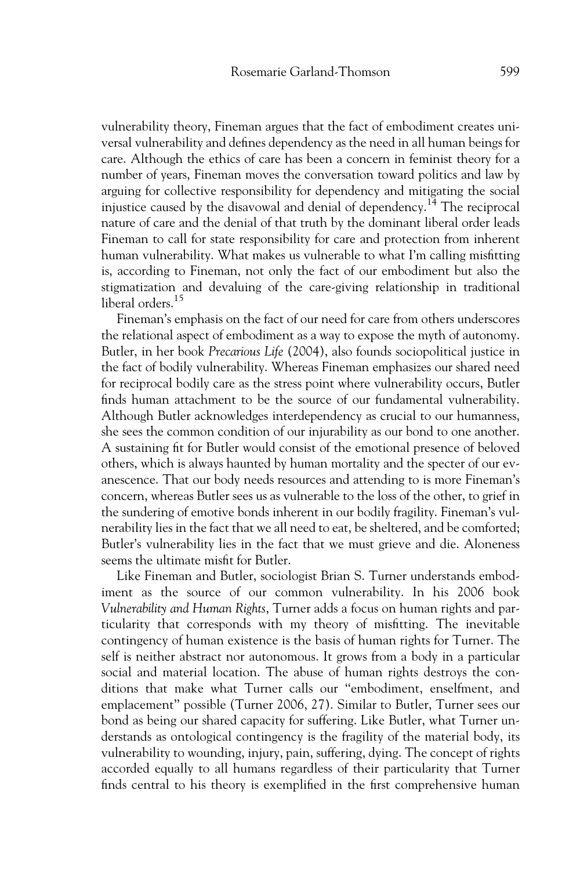vulnerability theory, Fineman argues that the fact of embodiment creates universal vulnerability and defines dependency as the need in all human beings for care. Although the ethics of care has been a concern in feminist theory for a number of years, Fineman moves the conversation toward politics and law by arguing for collective responsibility for dependency and mitigating the social injustice caused by the disavowal and denial of dependency.<sup>14</sup> The reciprocal nature of care and the denial of that truth by the dominant liberal order leads Fineman to call for state responsibility for care and protection from inherent human vulnerability. What makes us vulnerable to what I'm calling misfitting is, according to Fineman, not only the fact of our embodiment but also the stigmatization and devaluing of the care-giving relationship in traditional liberal orders.<sup>15</sup>

Fineman's emphasis on the fact of our need for care from others underscores the relational aspect of embodiment as a way to expose the myth of autonomy. Butler, in her book Precarious Life (2004), also founds sociopolitical justice in the fact of bodily vulnerability. Whereas Fineman emphasizes our shared need for reciprocal bodily care as the stress point where vulnerability occurs, Butler finds human attachment to be the source of our fundamental vulnerability. Although Butler acknowledges interdependency as crucial to our humanness, she sees the common condition of our injurability as our bond to one another. A sustaining fit for Butler would consist of the emotional presence of beloved others, which is always haunted by human mortality and the specter of our evanescence. That our body needs resources and attending to is more Fineman's concern, whereas Butler sees us as vulnerable to the loss of the other, to grief in the sundering of emotive bonds inherent in our bodily fragility. Fineman's vulnerability lies in the fact that we all need to eat, be sheltered, and be comforted; Butler's vulnerability lies in the fact that we must grieve and die. Aloneness seems the ultimate misfit for Butler.

Like Fineman and Butler, sociologist Brian S. Turner understands embodiment as the source of our common vulnerability. In his 2006 book Vulnerability and Human Rights, Turner adds a focus on human rights and particularity that corresponds with my theory of misfitting. The inevitable contingency of human existence is the basis of human rights for Turner. The self is neither abstract nor autonomous. It grows from a body in a particular social and material location. The abuse of human rights destroys the conditions that make what Turner calls our ''embodiment, enselfment, and emplacement'' possible (Turner 2006, 27). Similar to Butler, Turner sees our bond as being our shared capacity for suffering. Like Butler, what Turner understands as ontological contingency is the fragility of the material body, its vulnerability to wounding, injury, pain, suffering, dying. The concept of rights accorded equally to all humans regardless of their particularity that Turner finds central to his theory is exemplified in the first comprehensive human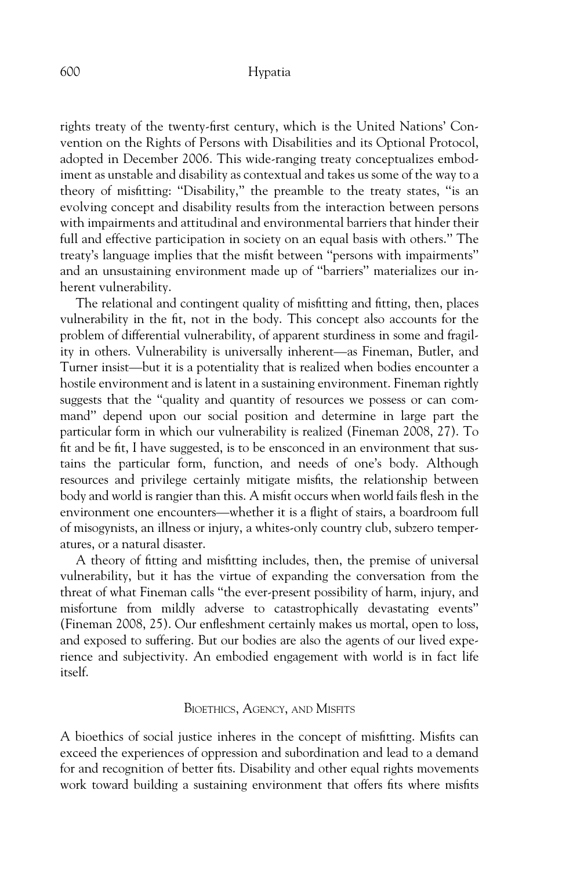rights treaty of the twenty-first century, which is the United Nations' Convention on the Rights of Persons with Disabilities and its Optional Protocol, adopted in December 2006. This wide-ranging treaty conceptualizes embodiment as unstable and disability as contextual and takes us some of the way to a theory of misfitting: ''Disability,'' the preamble to the treaty states, ''is an evolving concept and disability results from the interaction between persons with impairments and attitudinal and environmental barriers that hinder their full and effective participation in society on an equal basis with others.'' The treaty's language implies that the misfit between ''persons with impairments'' and an unsustaining environment made up of ''barriers'' materializes our inherent vulnerability.

The relational and contingent quality of misfitting and fitting, then, places vulnerability in the fit, not in the body. This concept also accounts for the problem of differential vulnerability, of apparent sturdiness in some and fragility in others. Vulnerability is universally inherent—as Fineman, Butler, and Turner insist—but it is a potentiality that is realized when bodies encounter a hostile environment and is latent in a sustaining environment. Fineman rightly suggests that the ''quality and quantity of resources we possess or can command'' depend upon our social position and determine in large part the particular form in which our vulnerability is realized (Fineman 2008, 27). To fit and be fit, I have suggested, is to be ensconced in an environment that sustains the particular form, function, and needs of one's body. Although resources and privilege certainly mitigate misfits, the relationship between body and world is rangier than this. A misfit occurs when world fails flesh in the environment one encounters—whether it is a flight of stairs, a boardroom full of misogynists, an illness or injury, a whites-only country club, subzero temperatures, or a natural disaster.

A theory of fitting and misfitting includes, then, the premise of universal vulnerability, but it has the virtue of expanding the conversation from the threat of what Fineman calls ''the ever-present possibility of harm, injury, and misfortune from mildly adverse to catastrophically devastating events'' (Fineman 2008, 25). Our enfleshment certainly makes us mortal, open to loss, and exposed to suffering. But our bodies are also the agents of our lived experience and subjectivity. An embodied engagement with world is in fact life itself.

#### BIOETHICS, AGENCY, AND MISFITS

A bioethics of social justice inheres in the concept of misfitting. Misfits can exceed the experiences of oppression and subordination and lead to a demand for and recognition of better fits. Disability and other equal rights movements work toward building a sustaining environment that offers fits where misfits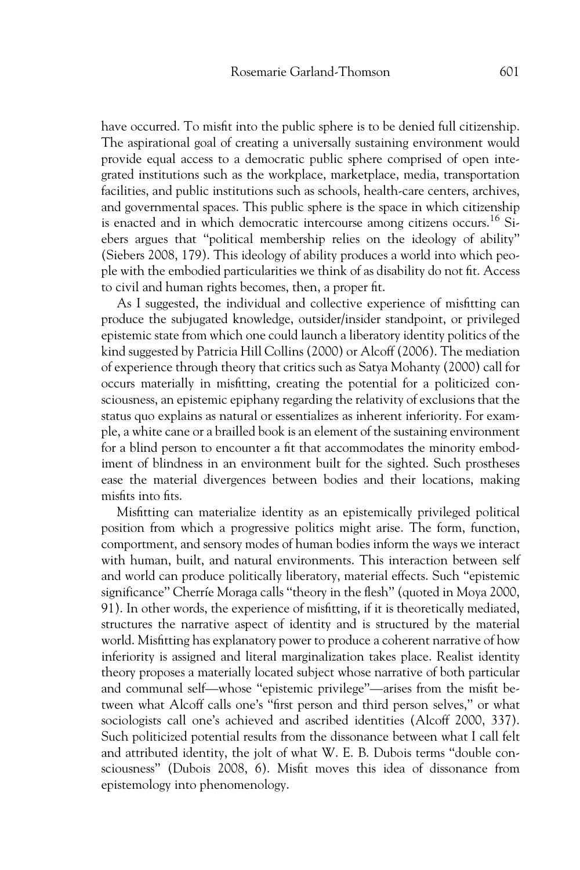have occurred. To misfit into the public sphere is to be denied full citizenship. The aspirational goal of creating a universally sustaining environment would provide equal access to a democratic public sphere comprised of open integrated institutions such as the workplace, marketplace, media, transportation facilities, and public institutions such as schools, health-care centers, archives, and governmental spaces. This public sphere is the space in which citizenship is enacted and in which democratic intercourse among citizens occurs.<sup>16</sup> Siebers argues that ''political membership relies on the ideology of ability'' (Siebers 2008, 179). This ideology of ability produces a world into which people with the embodied particularities we think of as disability do not fit. Access to civil and human rights becomes, then, a proper fit.

As I suggested, the individual and collective experience of misfitting can produce the subjugated knowledge, outsider/insider standpoint, or privileged epistemic state from which one could launch a liberatory identity politics of the kind suggested by Patricia Hill Collins (2000) or Alcoff (2006). The mediation of experience through theory that critics such as Satya Mohanty (2000) call for occurs materially in misfitting, creating the potential for a politicized consciousness, an epistemic epiphany regarding the relativity of exclusions that the status quo explains as natural or essentializes as inherent inferiority. For example, a white cane or a brailled book is an element of the sustaining environment for a blind person to encounter a fit that accommodates the minority embodiment of blindness in an environment built for the sighted. Such prostheses ease the material divergences between bodies and their locations, making misfits into fits.

Misfitting can materialize identity as an epistemically privileged political position from which a progressive politics might arise. The form, function, comportment, and sensory modes of human bodies inform the ways we interact with human, built, and natural environments. This interaction between self and world can produce politically liberatory, material effects. Such ''epistemic significance" Cherríe Moraga calls "theory in the flesh" (quoted in Moya 2000, 91). In other words, the experience of misfitting, if it is theoretically mediated, structures the narrative aspect of identity and is structured by the material world. Misfitting has explanatory power to produce a coherent narrative of how inferiority is assigned and literal marginalization takes place. Realist identity theory proposes a materially located subject whose narrative of both particular and communal self—whose ''epistemic privilege''—arises from the misfit between what Alcoff calls one's ''first person and third person selves,'' or what sociologists call one's achieved and ascribed identities (Alcoff 2000, 337). Such politicized potential results from the dissonance between what I call felt and attributed identity, the jolt of what W. E. B. Dubois terms ''double consciousness'' (Dubois 2008, 6). Misfit moves this idea of dissonance from epistemology into phenomenology.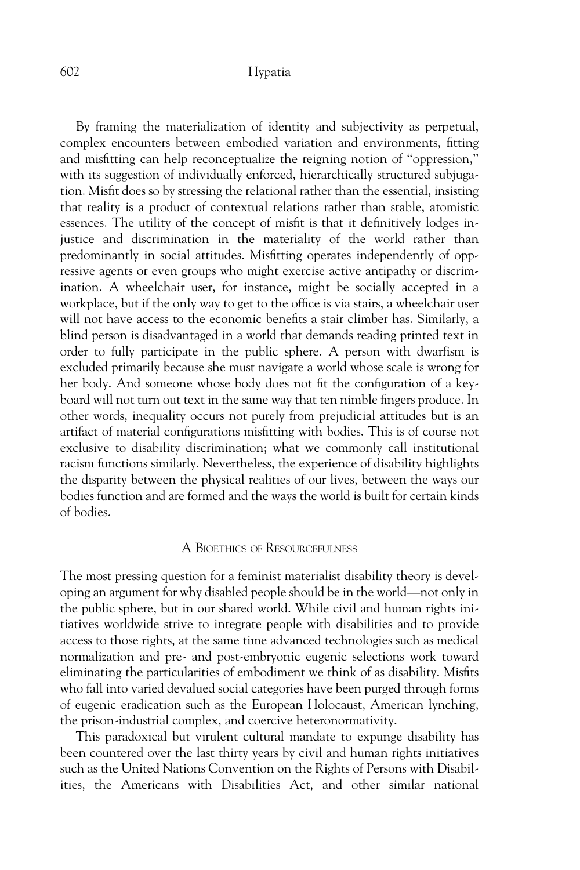By framing the materialization of identity and subjectivity as perpetual, complex encounters between embodied variation and environments, fitting and misfitting can help reconceptualize the reigning notion of ''oppression,'' with its suggestion of individually enforced, hierarchically structured subjugation. Misfit does so by stressing the relational rather than the essential, insisting that reality is a product of contextual relations rather than stable, atomistic essences. The utility of the concept of misfit is that it definitively lodges injustice and discrimination in the materiality of the world rather than predominantly in social attitudes. Misfitting operates independently of oppressive agents or even groups who might exercise active antipathy or discrimination. A wheelchair user, for instance, might be socially accepted in a workplace, but if the only way to get to the office is via stairs, a wheelchair user will not have access to the economic benefits a stair climber has. Similarly, a blind person is disadvantaged in a world that demands reading printed text in order to fully participate in the public sphere. A person with dwarfism is excluded primarily because she must navigate a world whose scale is wrong for her body. And someone whose body does not fit the configuration of a keyboard will not turn out text in the same way that ten nimble fingers produce. In other words, inequality occurs not purely from prejudicial attitudes but is an artifact of material configurations misfitting with bodies. This is of course not exclusive to disability discrimination; what we commonly call institutional racism functions similarly. Nevertheless, the experience of disability highlights the disparity between the physical realities of our lives, between the ways our bodies function and are formed and the ways the world is built for certain kinds of bodies.

## A BIOETHICS OF RESOURCEFULNESS

The most pressing question for a feminist materialist disability theory is developing an argument for why disabled people should be in the world—not only in the public sphere, but in our shared world. While civil and human rights initiatives worldwide strive to integrate people with disabilities and to provide access to those rights, at the same time advanced technologies such as medical normalization and pre- and post-embryonic eugenic selections work toward eliminating the particularities of embodiment we think of as disability. Misfits who fall into varied devalued social categories have been purged through forms of eugenic eradication such as the European Holocaust, American lynching, the prison-industrial complex, and coercive heteronormativity.

This paradoxical but virulent cultural mandate to expunge disability has been countered over the last thirty years by civil and human rights initiatives such as the United Nations Convention on the Rights of Persons with Disabilities, the Americans with Disabilities Act, and other similar national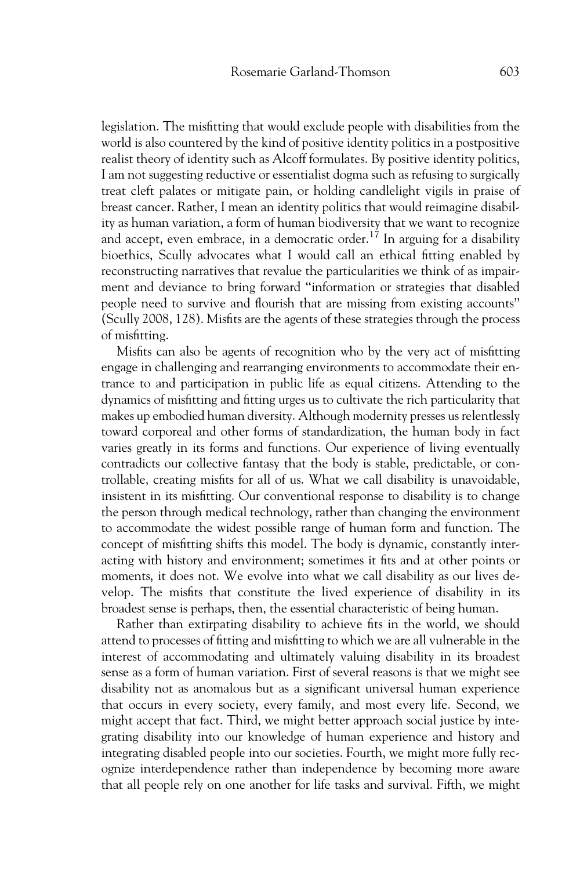legislation. The misfitting that would exclude people with disabilities from the world is also countered by the kind of positive identity politics in a postpositive realist theory of identity such as Alcoff formulates. By positive identity politics, I am not suggesting reductive or essentialist dogma such as refusing to surgically treat cleft palates or mitigate pain, or holding candlelight vigils in praise of breast cancer. Rather, I mean an identity politics that would reimagine disability as human variation, a form of human biodiversity that we want to recognize and accept, even embrace, in a democratic order.<sup>17</sup> In arguing for a disability bioethics, Scully advocates what I would call an ethical fitting enabled by reconstructing narratives that revalue the particularities we think of as impairment and deviance to bring forward ''information or strategies that disabled people need to survive and flourish that are missing from existing accounts'' (Scully 2008, 128). Misfits are the agents of these strategies through the process of misfitting.

Misfits can also be agents of recognition who by the very act of misfitting engage in challenging and rearranging environments to accommodate their entrance to and participation in public life as equal citizens. Attending to the dynamics of misfitting and fitting urges us to cultivate the rich particularity that makes up embodied human diversity. Although modernity presses us relentlessly toward corporeal and other forms of standardization, the human body in fact varies greatly in its forms and functions. Our experience of living eventually contradicts our collective fantasy that the body is stable, predictable, or controllable, creating misfits for all of us. What we call disability is unavoidable, insistent in its misfitting. Our conventional response to disability is to change the person through medical technology, rather than changing the environment to accommodate the widest possible range of human form and function. The concept of misfitting shifts this model. The body is dynamic, constantly interacting with history and environment; sometimes it fits and at other points or moments, it does not. We evolve into what we call disability as our lives develop. The misfits that constitute the lived experience of disability in its broadest sense is perhaps, then, the essential characteristic of being human.

Rather than extirpating disability to achieve fits in the world, we should attend to processes of fitting and misfitting to which we are all vulnerable in the interest of accommodating and ultimately valuing disability in its broadest sense as a form of human variation. First of several reasons is that we might see disability not as anomalous but as a significant universal human experience that occurs in every society, every family, and most every life. Second, we might accept that fact. Third, we might better approach social justice by integrating disability into our knowledge of human experience and history and integrating disabled people into our societies. Fourth, we might more fully recognize interdependence rather than independence by becoming more aware that all people rely on one another for life tasks and survival. Fifth, we might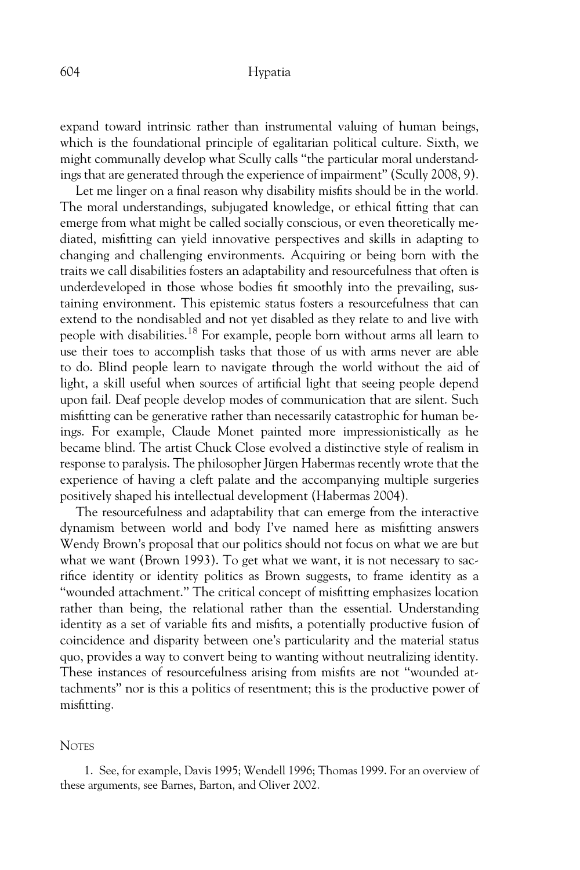expand toward intrinsic rather than instrumental valuing of human beings, which is the foundational principle of egalitarian political culture. Sixth, we might communally develop what Scully calls ''the particular moral understandings that are generated through the experience of impairment'' (Scully 2008, 9).

Let me linger on a final reason why disability misfits should be in the world. The moral understandings, subjugated knowledge, or ethical fitting that can emerge from what might be called socially conscious, or even theoretically mediated, misfitting can yield innovative perspectives and skills in adapting to changing and challenging environments. Acquiring or being born with the traits we call disabilities fosters an adaptability and resourcefulness that often is underdeveloped in those whose bodies fit smoothly into the prevailing, sustaining environment. This epistemic status fosters a resourcefulness that can extend to the nondisabled and not yet disabled as they relate to and live with people with disabilities.<sup>18</sup> For example, people born without arms all learn to use their toes to accomplish tasks that those of us with arms never are able to do. Blind people learn to navigate through the world without the aid of light, a skill useful when sources of artificial light that seeing people depend upon fail. Deaf people develop modes of communication that are silent. Such misfitting can be generative rather than necessarily catastrophic for human beings. For example, Claude Monet painted more impressionistically as he became blind. The artist Chuck Close evolved a distinctive style of realism in response to paralysis. The philosopher Jürgen Habermas recently wrote that the experience of having a cleft palate and the accompanying multiple surgeries positively shaped his intellectual development (Habermas 2004).

The resourcefulness and adaptability that can emerge from the interactive dynamism between world and body I've named here as misfitting answers Wendy Brown's proposal that our politics should not focus on what we are but what we want (Brown 1993). To get what we want, it is not necessary to sacrifice identity or identity politics as Brown suggests, to frame identity as a ''wounded attachment.'' The critical concept of misfitting emphasizes location rather than being, the relational rather than the essential. Understanding identity as a set of variable fits and misfits, a potentially productive fusion of coincidence and disparity between one's particularity and the material status quo, provides a way to convert being to wanting without neutralizing identity. These instances of resourcefulness arising from misfits are not ''wounded attachments'' nor is this a politics of resentment; this is the productive power of misfitting.

#### **NOTES**

1. See, for example, Davis 1995; Wendell 1996; Thomas 1999. For an overview of these arguments, see Barnes, Barton, and Oliver 2002.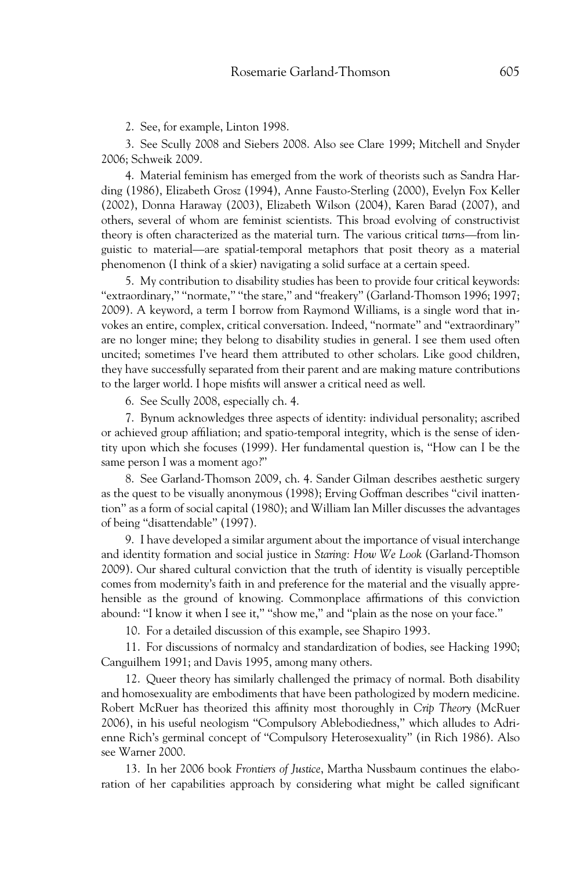2. See, for example, Linton 1998.

3. See Scully 2008 and Siebers 2008. Also see Clare 1999; Mitchell and Snyder 2006; Schweik 2009.

4. Material feminism has emerged from the work of theorists such as Sandra Harding (1986), Elizabeth Grosz (1994), Anne Fausto-Sterling (2000), Evelyn Fox Keller (2002), Donna Haraway (2003), Elizabeth Wilson (2004), Karen Barad (2007), and others, several of whom are feminist scientists. This broad evolving of constructivist theory is often characterized as the material turn. The various critical turns—from linguistic to material—are spatial-temporal metaphors that posit theory as a material phenomenon (I think of a skier) navigating a solid surface at a certain speed.

5. My contribution to disability studies has been to provide four critical keywords: "extraordinary," "normate," "the stare," and "freakery" (Garland-Thomson 1996; 1997; 2009). A keyword, a term I borrow from Raymond Williams, is a single word that invokes an entire, complex, critical conversation. Indeed, ''normate'' and ''extraordinary'' are no longer mine; they belong to disability studies in general. I see them used often uncited; sometimes I've heard them attributed to other scholars. Like good children, they have successfully separated from their parent and are making mature contributions to the larger world. I hope misfits will answer a critical need as well.

6. See Scully 2008, especially ch. 4.

7. Bynum acknowledges three aspects of identity: individual personality; ascribed or achieved group affiliation; and spatio-temporal integrity, which is the sense of identity upon which she focuses (1999). Her fundamental question is, ''How can I be the same person I was a moment ago?''

8. See Garland-Thomson 2009, ch. 4. Sander Gilman describes aesthetic surgery as the quest to be visually anonymous (1998); Erving Goffman describes "civil inattention'' as a form of social capital (1980); and William Ian Miller discusses the advantages of being ''disattendable'' (1997).

9. I have developed a similar argument about the importance of visual interchange and identity formation and social justice in Staring: How We Look (Garland-Thomson 2009). Our shared cultural conviction that the truth of identity is visually perceptible comes from modernity's faith in and preference for the material and the visually apprehensible as the ground of knowing. Commonplace affirmations of this conviction abound: "I know it when I see it," "show me," and "plain as the nose on your face."

10. For a detailed discussion of this example, see Shapiro 1993.

11. For discussions of normalcy and standardization of bodies, see Hacking 1990; Canguilhem 1991; and Davis 1995, among many others.

12. Queer theory has similarly challenged the primacy of normal. Both disability and homosexuality are embodiments that have been pathologized by modern medicine. Robert McRuer has theorized this affinity most thoroughly in Crip Theory (McRuer 2006), in his useful neologism ''Compulsory Ablebodiedness,'' which alludes to Adrienne Rich's germinal concept of ''Compulsory Heterosexuality'' (in Rich 1986). Also see Warner 2000.

13. In her 2006 book Frontiers of Justice, Martha Nussbaum continues the elaboration of her capabilities approach by considering what might be called significant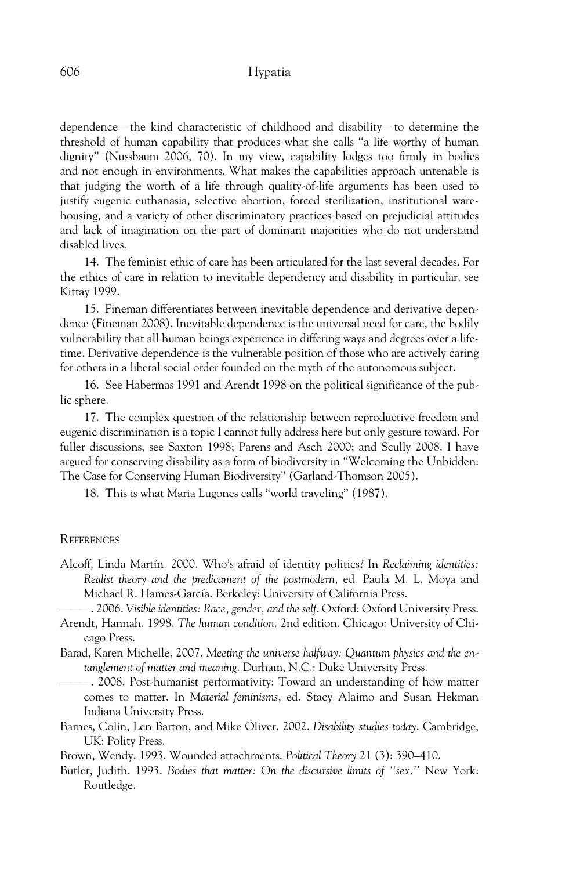dependence—the kind characteristic of childhood and disability—to determine the threshold of human capability that produces what she calls ''a life worthy of human dignity'' (Nussbaum 2006, 70). In my view, capability lodges too firmly in bodies and not enough in environments. What makes the capabilities approach untenable is that judging the worth of a life through quality-of-life arguments has been used to justify eugenic euthanasia, selective abortion, forced sterilization, institutional warehousing, and a variety of other discriminatory practices based on prejudicial attitudes and lack of imagination on the part of dominant majorities who do not understand disabled lives.

14. The feminist ethic of care has been articulated for the last several decades. For the ethics of care in relation to inevitable dependency and disability in particular, see Kittay 1999.

15. Fineman differentiates between inevitable dependence and derivative dependence (Fineman 2008). Inevitable dependence is the universal need for care, the bodily vulnerability that all human beings experience in differing ways and degrees over a lifetime. Derivative dependence is the vulnerable position of those who are actively caring for others in a liberal social order founded on the myth of the autonomous subject.

16. See Habermas 1991 and Arendt 1998 on the political significance of the public sphere.

17. The complex question of the relationship between reproductive freedom and eugenic discrimination is a topic I cannot fully address here but only gesture toward. For fuller discussions, see Saxton 1998; Parens and Asch 2000; and Scully 2008. I have argued for conserving disability as a form of biodiversity in ''Welcoming the Unbidden: The Case for Conserving Human Biodiversity'' (Garland-Thomson 2005).

18. This is what Maria Lugones calls ''world traveling'' (1987).

#### **REFERENCES**

Alcoff, Linda Martín. 2000. Who's afraid of identity politics? In Reclaiming identities: Realist theory and the predicament of the postmodern, ed. Paula M. L. Moya and Michael R. Hames-García. Berkeley: University of California Press.

———. 2006. Visible identities: Race, gender, and the self. Oxford: Oxford University Press.

- Arendt, Hannah. 1998. The human condition. 2nd edition. Chicago: University of Chicago Press.
- Barad, Karen Michelle. 2007. Meeting the universe halfway: Quantum physics and the entanglement of matter and meaning. Durham, N.C.: Duke University Press.

———. 2008. Post-humanist performativity: Toward an understanding of how matter comes to matter. In Material feminisms, ed. Stacy Alaimo and Susan Hekman Indiana University Press.

Barnes, Colin, Len Barton, and Mike Oliver. 2002. Disability studies today. Cambridge, UK: Polity Press.

Brown, Wendy. 1993. Wounded attachments. Political Theory 21 (3): 390–410.

Butler, Judith. 1993. Bodies that matter: On the discursive limits of ''sex.'' New York: Routledge.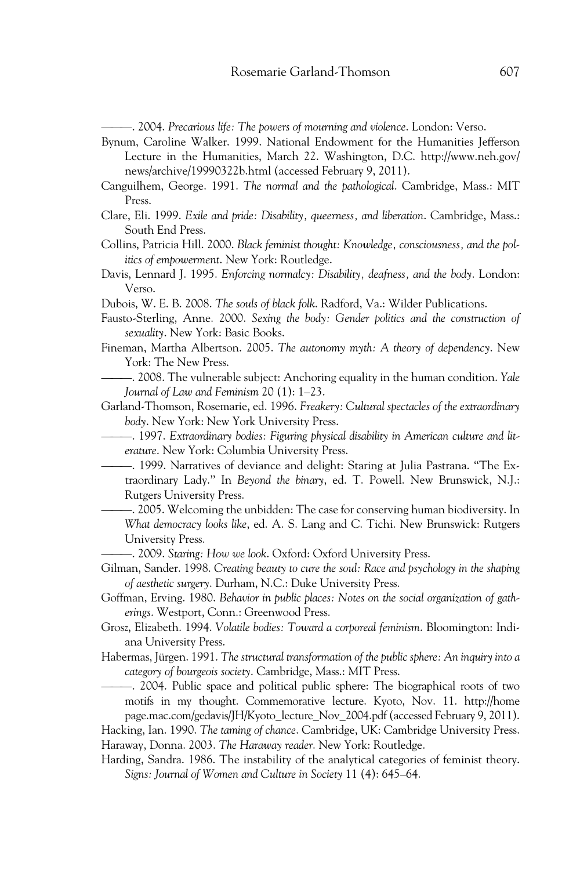———. 2004. Precarious life: The powers of mourning and violence. London: Verso.

- Bynum, Caroline Walker. 1999. National Endowment for the Humanities Jefferson Lecture in the Humanities, March 22. Washington, D.C. [http://www.neh.gov/](http://www.neh.gov/news/archive/19990322b.html) [news/archive/19990322b.html](http://www.neh.gov/news/archive/19990322b.html) (accessed February 9, 2011).
- Canguilhem, George. 1991. The normal and the pathological. Cambridge, Mass.: MIT Press.
- Clare, Eli. 1999. Exile and pride: Disability, queerness, and liberation. Cambridge, Mass.: South End Press.
- Collins, Patricia Hill. 2000. Black feminist thought: Knowledge, consciousness, and the politics of empowerment. New York: Routledge.
- Davis, Lennard J. 1995. Enforcing normalcy: Disability, deafness, and the body. London: Verso.
- Dubois, W. E. B. 2008. The souls of black folk. Radford, Va.: Wilder Publications.
- Fausto-Sterling, Anne. 2000. Sexing the body: Gender politics and the construction of sexuality. New York: Basic Books.
- Fineman, Martha Albertson. 2005. The autonomy myth: A theory of dependency. New York: The New Press.
	- —. 2008. The vulnerable subject: Anchoring equality in the human condition. Yale Journal of Law and Feminism 20 (1): 1–23.
- Garland-Thomson, Rosemarie, ed. 1996. Freakery: Cultural spectacles of the extraordinary body. New York: New York University Press.
- ———. 1997. Extraordinary bodies: Figuring physical disability in American culture and literature. New York: Columbia University Press.
- ———. 1999. Narratives of deviance and delight: Staring at Julia Pastrana. ''The Extraordinary Lady.'' In Beyond the binary, ed. T. Powell. New Brunswick, N.J.: Rutgers University Press.
- ———. 2005. Welcoming the unbidden: The case for conserving human biodiversity. In What democracy looks like, ed. A. S. Lang and C. Tichi. New Brunswick: Rutgers University Press.
- ———. 2009. Staring: How we look. Oxford: Oxford University Press.
- Gilman, Sander. 1998. Creating beauty to cure the soul: Race and psychology in the shaping of aesthetic surgery. Durham, N.C.: Duke University Press.
- Goffman, Erving. 1980. Behavior in public places: Notes on the social organization of gatherings. Westport, Conn.: Greenwood Press.
- Grosz, Elizabeth. 1994. Volatile bodies: Toward a corporeal feminism. Bloomington: Indiana University Press.
- Habermas, Jürgen. 1991. The structural transformation of the public sphere: An inquiry into a category of bourgeois society. Cambridge, Mass.: MIT Press.
	- ———. 2004. Public space and political public sphere: The biographical roots of two motifs in my thought. Commemorative lecture. Kyoto, Nov. 11. [http://home](http://homepage.mac.com/gedavis/JH/Kyoto_lecture_Nov_2004.pdf) [page.mac.com/gedavis/JH/Kyoto\\_lecture\\_Nov\\_2004.pdf](http://homepage.mac.com/gedavis/JH/Kyoto_lecture_Nov_2004.pdf) (accessed February 9, 2011).

Hacking, Ian. 1990. The taming of chance. Cambridge, UK: Cambridge University Press. Haraway, Donna. 2003. The Haraway reader. New York: Routledge.

Harding, Sandra. 1986. The instability of the analytical categories of feminist theory. Signs: Journal of Women and Culture in Society 11 (4): 645–64.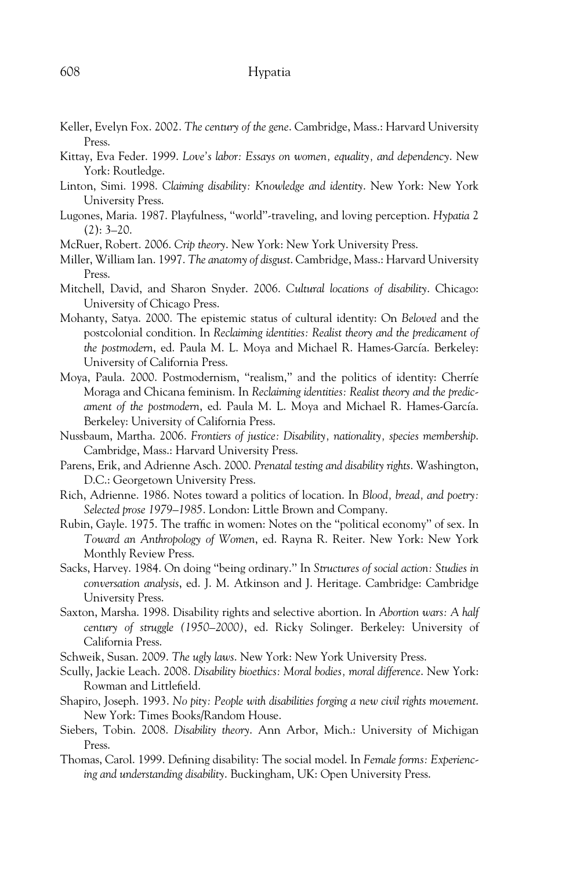- Keller, Evelyn Fox. 2002. The century of the gene. Cambridge, Mass.: Harvard University Press.
- Kittay, Eva Feder. 1999. Love's labor: Essays on women, equality, and dependency. New York: Routledge.
- Linton, Simi. 1998. Claiming disability: Knowledge and identity. New York: New York University Press.
- Lugones, Maria. 1987. Playfulness, ''world''-traveling, and loving perception. Hypatia 2  $(2): 3 - 20.$
- McRuer, Robert. 2006. Crip theory. New York: New York University Press.
- Miller, William Ian. 1997. The anatomy of disgust. Cambridge, Mass.: Harvard University Press.
- Mitchell, David, and Sharon Snyder. 2006. Cultural locations of disability. Chicago: University of Chicago Press.
- Mohanty, Satya. 2000. The epistemic status of cultural identity: On Beloved and the postcolonial condition. In Reclaiming identities: Realist theory and the predicament of the postmodern, ed. Paula M. L. Moya and Michael R. Hames-García. Berkeley: University of California Press.
- Moya, Paula. 2000. Postmodernism, "realism," and the politics of identity: Cherríe Moraga and Chicana feminism. In Reclaiming identities: Realist theory and the predicament of the postmodern, ed. Paula M. L. Moya and Michael R. Hames-García. Berkeley: University of California Press.
- Nussbaum, Martha. 2006. Frontiers of justice: Disability, nationality, species membership. Cambridge, Mass.: Harvard University Press.
- Parens, Erik, and Adrienne Asch. 2000. Prenatal testing and disability rights. Washington, D.C.: Georgetown University Press.
- Rich, Adrienne. 1986. Notes toward a politics of location. In Blood, bread, and poetry: Selected prose 1979–1985. London: Little Brown and Company.
- Rubin, Gayle. 1975. The traffic in women: Notes on the ''political economy'' of sex. In Toward an Anthropology of Women, ed. Rayna R. Reiter. New York: New York Monthly Review Press.
- Sacks, Harvey. 1984. On doing ''being ordinary.'' In Structures of social action: Studies in conversation analysis, ed. J. M. Atkinson and J. Heritage. Cambridge: Cambridge University Press.
- Saxton, Marsha. 1998. Disability rights and selective abortion. In Abortion wars: A half century of struggle (1950–2000), ed. Ricky Solinger. Berkeley: University of California Press.
- Schweik, Susan. 2009. The ugly laws. New York: New York University Press.
- Scully, Jackie Leach. 2008. Disability bioethics: Moral bodies, moral difference. New York: Rowman and Littlefield.
- Shapiro, Joseph. 1993. No pity: People with disabilities forging a new civil rights movement. New York: Times Books/Random House.
- Siebers, Tobin. 2008. Disability theory. Ann Arbor, Mich.: University of Michigan Press.
- Thomas, Carol. 1999. Defining disability: The social model. In Female forms: Experiencing and understanding disability. Buckingham, UK: Open University Press.